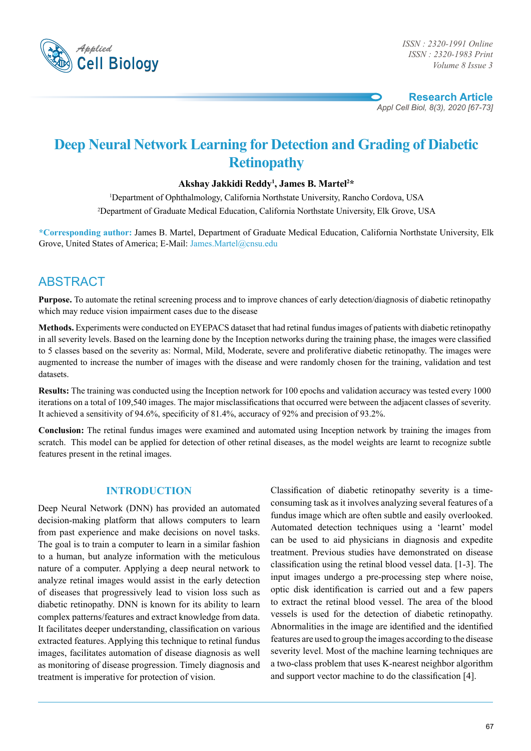

*ISSN : 2320-1983 Print Volume 8 Issue 3*

**Research Article** *Appl Cell Biol, 8(3), 2020 [67-73]*

# **Deep Neural Network Learning for Detection and Grading of Diabetic Retinopathy**

## **Akshay Jakkidi Reddy1 , James B. Martel2 \***

1 Department of Ophthalmology, California Northstate University, Rancho Cordova, USA 2 Department of Graduate Medical Education, California Northstate University, Elk Grove, USA

**\*Corresponding author:** James B. Martel, Department of Graduate Medical Education, California Northstate University, Elk Grove, United States of America; E-Mail: James.Martel@cnsu.edu

## **ABSTRACT**

**Purpose.** To automate the retinal screening process and to improve chances of early detection/diagnosis of diabetic retinopathy which may reduce vision impairment cases due to the disease

**Methods.** Experiments were conducted on EYEPACS dataset that had retinal fundus images of patients with diabetic retinopathy in all severity levels. Based on the learning done by the Inception networks during the training phase, the images were classified to 5 classes based on the severity as: Normal, Mild, Moderate, severe and proliferative diabetic retinopathy. The images were augmented to increase the number of images with the disease and were randomly chosen for the training, validation and test datasets.

**Results:** The training was conducted using the Inception network for 100 epochs and validation accuracy was tested every 1000 iterations on a total of 109,540 images. The major misclassifications that occurred were between the adjacent classes of severity. It achieved a sensitivity of 94.6%, specificity of 81.4%, accuracy of 92% and precision of 93.2%.

**Conclusion:** The retinal fundus images were examined and automated using Inception network by training the images from scratch. This model can be applied for detection of other retinal diseases, as the model weights are learnt to recognize subtle features present in the retinal images.

## **Introduction**

Deep Neural Network (DNN) has provided an automated decision-making platform that allows computers to learn from past experience and make decisions on novel tasks. The goal is to train a computer to learn in a similar fashion to a human, but analyze information with the meticulous nature of a computer. Applying a deep neural network to analyze retinal images would assist in the early detection of diseases that progressively lead to vision loss such as diabetic retinopathy. DNN is known for its ability to learn complex patterns/features and extract knowledge from data. It facilitates deeper understanding, classification on various extracted features. Applying this technique to retinal fundus images, facilitates automation of disease diagnosis as well as monitoring of disease progression. Timely diagnosis and treatment is imperative for protection of vision.

Classification of diabetic retinopathy severity is a timeconsuming task as it involves analyzing several features of a fundus image which are often subtle and easily overlooked. Automated detection techniques using a 'learnt' model can be used to aid physicians in diagnosis and expedite treatment. Previous studies have demonstrated on disease classification using the retinal blood vessel data. [1-3]. The input images undergo a pre-processing step where noise, optic disk identification is carried out and a few papers to extract the retinal blood vessel. The area of the blood vessels is used for the detection of diabetic retinopathy. Abnormalities in the image are identified and the identified features are used to group the images according to the disease severity level. Most of the machine learning techniques are a two-class problem that uses K-nearest neighbor algorithm and support vector machine to do the classification [4].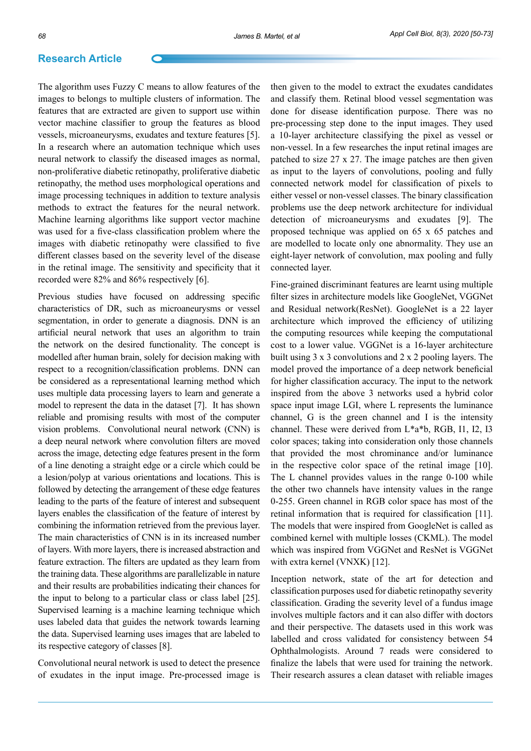The algorithm uses Fuzzy C means to allow features of the images to belongs to multiple clusters of information. The features that are extracted are given to support use within vector machine classifier to group the features as blood vessels, microaneurysms, exudates and texture features [5]. In a research where an automation technique which uses neural network to classify the diseased images as normal, non-proliferative diabetic retinopathy, proliferative diabetic retinopathy, the method uses morphological operations and image processing techniques in addition to texture analysis methods to extract the features for the neural network. Machine learning algorithms like support vector machine was used for a five-class classification problem where the images with diabetic retinopathy were classified to five different classes based on the severity level of the disease in the retinal image. The sensitivity and specificity that it recorded were 82% and 86% respectively [6].

Previous studies have focused on addressing specific characteristics of DR, such as microaneurysms or vessel segmentation, in order to generate a diagnosis. DNN is an artificial neural network that uses an algorithm to train the network on the desired functionality. The concept is modelled after human brain, solely for decision making with respect to a recognition/classification problems. DNN can be considered as a representational learning method which uses multiple data processing layers to learn and generate a model to represent the data in the dataset [7]. It has shown reliable and promising results with most of the computer vision problems. Convolutional neural network (CNN) is a deep neural network where convolution filters are moved across the image, detecting edge features present in the form of a line denoting a straight edge or a circle which could be a lesion/polyp at various orientations and locations. This is followed by detecting the arrangement of these edge features leading to the parts of the feature of interest and subsequent layers enables the classification of the feature of interest by combining the information retrieved from the previous layer. The main characteristics of CNN is in its increased number of layers. With more layers, there is increased abstraction and feature extraction. The filters are updated as they learn from the training data. These algorithms are parallelizable in nature and their results are probabilities indicating their chances for the input to belong to a particular class or class label [25]. Supervised learning is a machine learning technique which uses labeled data that guides the network towards learning the data. Supervised learning uses images that are labeled to its respective category of classes [8].

Convolutional neural network is used to detect the presence of exudates in the input image. Pre-processed image is

then given to the model to extract the exudates candidates and classify them. Retinal blood vessel segmentation was done for disease identification purpose. There was no pre-processing step done to the input images. They used a 10-layer architecture classifying the pixel as vessel or non-vessel. In a few researches the input retinal images are patched to size 27 x 27. The image patches are then given as input to the layers of convolutions, pooling and fully connected network model for classification of pixels to either vessel or non-vessel classes. The binary classification problems use the deep network architecture for individual detection of microaneurysms and exudates [9]. The proposed technique was applied on 65 x 65 patches and are modelled to locate only one abnormality. They use an eight-layer network of convolution, max pooling and fully connected layer.

Fine-grained discriminant features are learnt using multiple filter sizes in architecture models like GoogleNet, VGGNet and Residual network(ResNet). GoogleNet is a 22 layer architecture which improved the efficiency of utilizing the computing resources while keeping the computational cost to a lower value. VGGNet is a 16-layer architecture built using 3 x 3 convolutions and 2 x 2 pooling layers. The model proved the importance of a deep network beneficial for higher classification accuracy. The input to the network inspired from the above 3 networks used a hybrid color space input image LGI, where L represents the luminance channel, G is the green channel and I is the intensity channel. These were derived from L\*a\*b, RGB, I1, I2, I3 color spaces; taking into consideration only those channels that provided the most chrominance and/or luminance in the respective color space of the retinal image [10]. The L channel provides values in the range 0-100 while the other two channels have intensity values in the range 0-255. Green channel in RGB color space has most of the retinal information that is required for classification [11]. The models that were inspired from GoogleNet is called as combined kernel with multiple losses (CKML). The model which was inspired from VGGNet and ResNet is VGGNet with extra kernel (VNXK) [12].

Inception network, state of the art for detection and classification purposes used for diabetic retinopathy severity classification. Grading the severity level of a fundus image involves multiple factors and it can also differ with doctors and their perspective. The datasets used in this work was labelled and cross validated for consistency between 54 Ophthalmologists. Around 7 reads were considered to finalize the labels that were used for training the network. Their research assures a clean dataset with reliable images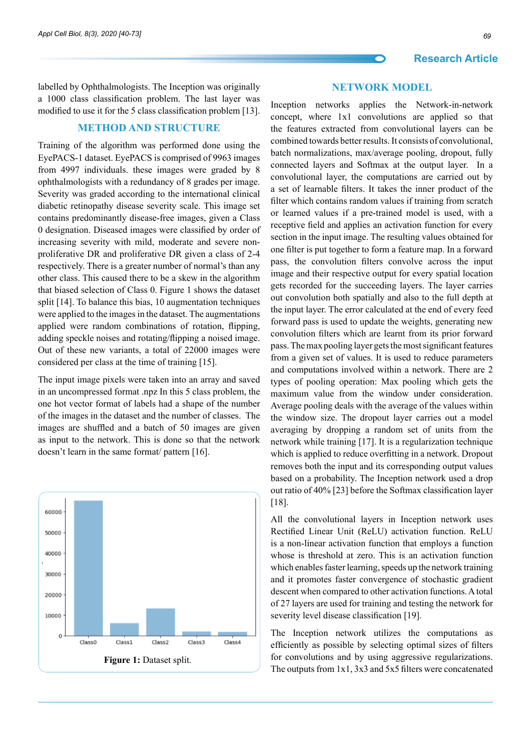labelled by Ophthalmologists. The Inception was originally a 1000 class classification problem. The last layer was modified to use it for the 5 class classification problem [13].

#### **Method and Structure**

Training of the algorithm was performed done using the EyePACS-1 dataset. EyePACS is comprised of 9963 images from 4997 individuals. these images were graded by 8 ophthalmologists with a redundancy of 8 grades per image. Severity was graded according to the international clinical diabetic retinopathy disease severity scale. This image set contains predominantly disease-free images, given a Class 0 designation. Diseased images were classified by order of increasing severity with mild, moderate and severe nonproliferative DR and proliferative DR given a class of 2-4 respectively. There is a greater number of normal's than any other class. This caused there to be a skew in the algorithm that biased selection of Class 0. Figure 1 shows the dataset split [14]. To balance this bias, 10 augmentation techniques were applied to the images in the dataset. The augmentations applied were random combinations of rotation, flipping, adding speckle noises and rotating/flipping a noised image. Out of these new variants, a total of 22000 images were considered per class at the time of training [15].

The input image pixels were taken into an array and saved in an uncompressed format .npz In this 5 class problem, the one hot vector format of labels had a shape of the number of the images in the dataset and the number of classes. The images are shuffled and a batch of 50 images are given as input to the network. This is done so that the network doesn't learn in the same format/ pattern [16].



#### **Network Model**

Inception networks applies the Network-in-network concept, where 1x1 convolutions are applied so that the features extracted from convolutional layers can be combined towards better results. It consists of convolutional, batch normalizations, max/average pooling, dropout, fully connected layers and Softmax at the output layer. In a convolutional layer, the computations are carried out by a set of learnable filters. It takes the inner product of the filter which contains random values if training from scratch or learned values if a pre-trained model is used, with a receptive field and applies an activation function for every section in the input image. The resulting values obtained for one filter is put together to form a feature map. In a forward pass, the convolution filters convolve across the input image and their respective output for every spatial location gets recorded for the succeeding layers. The layer carries out convolution both spatially and also to the full depth at the input layer. The error calculated at the end of every feed forward pass is used to update the weights, generating new convolution filters which are learnt from its prior forward pass. The max pooling layer gets the most significant features from a given set of values. It is used to reduce parameters and computations involved within a network. There are 2 types of pooling operation: Max pooling which gets the maximum value from the window under consideration. Average pooling deals with the average of the values within the window size. The dropout layer carries out a model averaging by dropping a random set of units from the network while training [17]. It is a regularization technique which is applied to reduce overfitting in a network. Dropout removes both the input and its corresponding output values based on a probability. The Inception network used a drop out ratio of 40% [23] before the Softmax classification layer [18].

All the convolutional layers in Inception network uses Rectified Linear Unit (ReLU) activation function. ReLU is a non-linear activation function that employs a function whose is threshold at zero. This is an activation function which enables faster learning, speeds up the network training and it promotes faster convergence of stochastic gradient descent when compared to other activation functions. A total of 27 layers are used for training and testing the network for severity level disease classification [19].

The Inception network utilizes the computations as efficiently as possible by selecting optimal sizes of filters for convolutions and by using aggressive regularizations. The outputs from 1x1, 3x3 and 5x5 filters were concatenated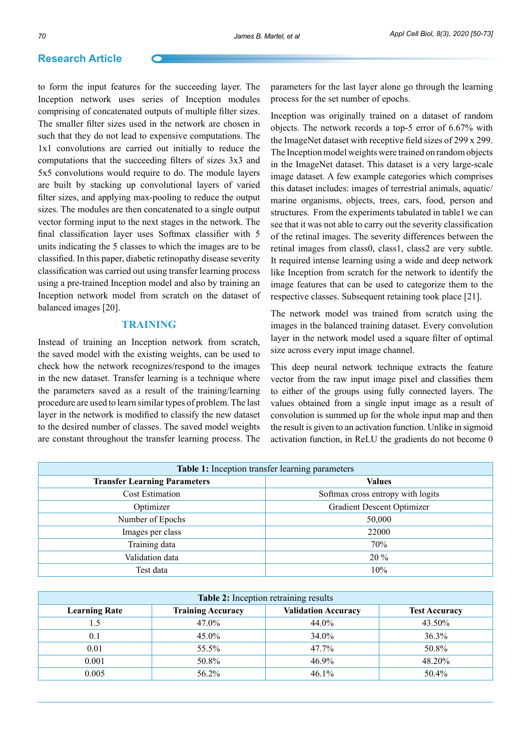to form the input features for the succeeding layer. The Inception network uses series of Inception modules comprising of concatenated outputs of multiple filter sizes. The smaller filter sizes used in the network are chosen in such that they do not lead to expensive computations. The 1x1 convolutions are carried out initially to reduce the computations that the succeeding filters of sizes 3x3 and 5x5 convolutions would require to do. The module layers are built by stacking up convolutional layers of varied filter sizes, and applying max-pooling to reduce the output sizes. The modules are then concatenated to a single output vector forming input to the next stages in the network. The final classification layer uses Softmax classifier with 5 units indicating the 5 classes to which the images are to be classified. In this paper, diabetic retinopathy disease severity classification was carried out using transfer learning process using a pre-trained Inception model and also by training an Inception network model from scratch on the dataset of balanced images [20].

#### **Training**

Instead of training an Inception network from scratch, the saved model with the existing weights, can be used to check how the network recognizes/respond to the images in the new dataset. Transfer learning is a technique where the parameters saved as a result of the training/learning procedure are used to learn similar types of problem. The last layer in the network is modified to classify the new dataset to the desired number of classes. The saved model weights are constant throughout the transfer learning process. The

parameters for the last layer alone go through the learning process for the set number of epochs.

Inception was originally trained on a dataset of random objects. The network records a top-5 error of 6.67% with the ImageNet dataset with receptive field sizes of 299 x 299. The Inception model weights were trained on random objects in the ImageNet dataset. This dataset is a very large-scale image dataset. A few example categories which comprises this dataset includes: images of terrestrial animals, aquatic/ marine organisms, objects, trees, cars, food, person and structures. From the experiments tabulated in table1 we can see that it was not able to carry out the severity classification of the retinal images. The severity differences between the retinal images from class0, class1, class2 are very subtle. It required intense learning using a wide and deep network like Inception from scratch for the network to identify the image features that can be used to categorize them to the respective classes. Subsequent retaining took place [21].

The network model was trained from scratch using the images in the balanced training dataset. Every convolution layer in the network model used a square filter of optimal size across every input image channel.

This deep neural network technique extracts the feature vector from the raw input image pixel and classifies them to either of the groups using fully connected layers. The values obtained from a single input image as a result of convolution is summed up for the whole input map and then the result is given to an activation function. Unlike in sigmoid activation function, in ReLU the gradients do not become 0

| Table 1: Inception transfer learning parameters |                                   |  |  |  |
|-------------------------------------------------|-----------------------------------|--|--|--|
| <b>Transfer Learning Parameters</b>             | <b>Values</b>                     |  |  |  |
| <b>Cost Estimation</b>                          | Softmax cross entropy with logits |  |  |  |
| Optimizer                                       | <b>Gradient Descent Optimizer</b> |  |  |  |
| Number of Epochs                                | 50,000                            |  |  |  |
| Images per class                                | 22000                             |  |  |  |
| Training data                                   | 70%                               |  |  |  |
| Validation data                                 | $20\%$                            |  |  |  |
| Test data                                       | 10%                               |  |  |  |

| Table 2: Inception retraining results |                          |                            |                      |  |  |  |
|---------------------------------------|--------------------------|----------------------------|----------------------|--|--|--|
| <b>Learning Rate</b>                  | <b>Training Accuracy</b> | <b>Validation Accuracy</b> | <b>Test Accuracy</b> |  |  |  |
| 1.5                                   | 47.0%                    | 44.0%                      | 43.50%               |  |  |  |
| 0.1                                   | $45.0\%$                 | 34.0%                      | 36.3%                |  |  |  |
| 0.01                                  | 55.5%                    | $47.7\%$                   | 50.8%                |  |  |  |
| 0.001                                 | 50.8%                    | 46.9%                      | 48.20%               |  |  |  |
| 0.005                                 | 56.2%                    | 46.1%                      | 50.4%                |  |  |  |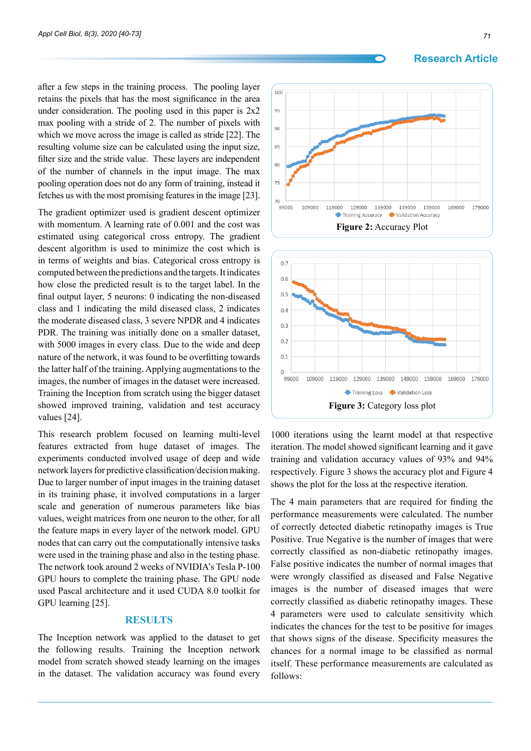after a few steps in the training process. The pooling layer retains the pixels that has the most significance in the area under consideration. The pooling used in this paper is 2x2 max pooling with a stride of 2. The number of pixels with which we move across the image is called as stride [22]. The resulting volume size can be calculated using the input size, filter size and the stride value. These layers are independent of the number of channels in the input image. The max pooling operation does not do any form of training, instead it fetches us with the most promising features in the image [23].

The gradient optimizer used is gradient descent optimizer with momentum. A learning rate of 0.001 and the cost was estimated using categorical cross entropy. The gradient descent algorithm is used to minimize the cost which is in terms of weights and bias. Categorical cross entropy is computed between the predictions and the targets. It indicates how close the predicted result is to the target label. In the final output layer, 5 neurons: 0 indicating the non-diseased class and 1 indicating the mild diseased class, 2 indicates the moderate diseased class, 3 severe NPDR and 4 indicates PDR. The training was initially done on a smaller dataset, with 5000 images in every class. Due to the wide and deep nature of the network, it was found to be overfitting towards the latter half of the training. Applying augmentations to the images, the number of images in the dataset were increased. Training the Inception from scratch using the bigger dataset showed improved training, validation and test accuracy values [24].

This research problem focused on learning multi-level features extracted from huge dataset of images. The experiments conducted involved usage of deep and wide network layers for predictive classification/decision making. Due to larger number of input images in the training dataset in its training phase, it involved computations in a larger scale and generation of numerous parameters like bias values, weight matrices from one neuron to the other, for all the feature maps in every layer of the network model. GPU nodes that can carry out the computationally intensive tasks were used in the training phase and also in the testing phase. The network took around 2 weeks of NVIDIA's Tesla P-100 GPU hours to complete the training phase. The GPU node used Pascal architecture and it used CUDA 8.0 toolkit for GPU learning [25].

#### **Results**

The Inception network was applied to the dataset to get the following results. Training the Inception network model from scratch showed steady learning on the images in the dataset. The validation accuracy was found every

#### **Research Article**





1000 iterations using the learnt model at that respective iteration. The model showed significant learning and it gave training and validation accuracy values of 93% and 94% respectively. Figure 3 shows the accuracy plot and Figure 4 shows the plot for the loss at the respective iteration.

The 4 main parameters that are required for finding the performance measurements were calculated. The number of correctly detected diabetic retinopathy images is True Positive. True Negative is the number of images that were correctly classified as non-diabetic retinopathy images. False positive indicates the number of normal images that were wrongly classified as diseased and False Negative images is the number of diseased images that were correctly classified as diabetic retinopathy images. These 4 parameters were used to calculate sensitivity which indicates the chances for the test to be positive for images that shows signs of the disease. Specificity measures the chances for a normal image to be classified as normal itself. These performance measurements are calculated as follows: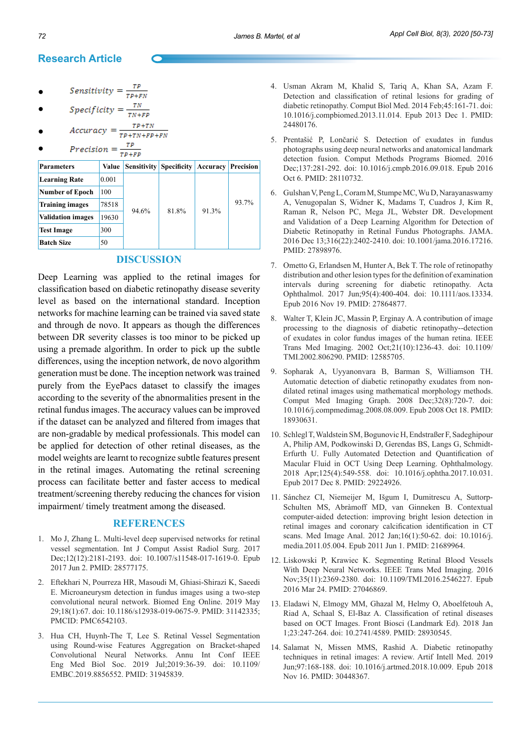• *Sensitivity* = 
$$
\frac{\tau P}{\tau P + F N}
$$

• 
$$
Specificity = \frac{TN}{TN+FP}
$$

$$
TP + TN
$$

$$
\bullet \qquad Accuracy = \frac{1}{TP + TN + FP + FN}
$$

Precision  $=\frac{TP}{TP+}$ ●

| <b>Parameters</b>        | Value | <b>Sensitivity</b> | <b>Specificity</b> | Accuracy | Precision |
|--------------------------|-------|--------------------|--------------------|----------|-----------|
| <b>Learning Rate</b>     | 0.001 | 94.6%              | 81.8%              | 91.3%    | 93.7%     |
| <b>Number of Epoch</b>   | 100   |                    |                    |          |           |
| <b>Training images</b>   | 78518 |                    |                    |          |           |
| <b>Validation images</b> | 19630 |                    |                    |          |           |
| <b>Test Image</b>        | 300   |                    |                    |          |           |
| <b>Batch Size</b>        | 50    |                    |                    |          |           |

## **Discussion**

Deep Learning was applied to the retinal images for classification based on diabetic retinopathy disease severity level as based on the international standard. Inception networks for machine learning can be trained via saved state and through de novo. It appears as though the differences between DR severity classes is too minor to be picked up using a premade algorithm. In order to pick up the subtle differences, using the inception network, de novo algorithm generation must be done. The inception network was trained purely from the EyePacs dataset to classify the images according to the severity of the abnormalities present in the retinal fundus images. The accuracy values can be improved if the dataset can be analyzed and filtered from images that are non-gradable by medical professionals. This model can be applied for detection of other retinal diseases, as the model weights are learnt to recognize subtle features present in the retinal images. Automating the retinal screening process can facilitate better and faster access to medical treatment/screening thereby reducing the chances for vision impairment/ timely treatment among the diseased.

## **References**

- 1. Mo J, Zhang L. Multi-level deep supervised networks for retinal vessel segmentation. Int J Comput Assist Radiol Surg. 2017 Dec;12(12):2181-2193. doi: 10.1007/s11548-017-1619-0. Epub 2017 Jun 2. PMID: 28577175.
- 2. Eftekhari N, Pourreza HR, Masoudi M, Ghiasi-Shirazi K, Saeedi E. Microaneurysm detection in fundus images using a two-step convolutional neural network. Biomed Eng Online. 2019 May 29;18(1):67. doi: 10.1186/s12938-019-0675-9. PMID: 31142335; PMCID: PMC6542103.
- 3. Hua CH, Huynh-The T, Lee S. Retinal Vessel Segmentation using Round-wise Features Aggregation on Bracket-shaped Convolutional Neural Networks. Annu Int Conf IEEE Eng Med Biol Soc. 2019 Jul;2019:36-39. doi: 10.1109/ EMBC.2019.8856552. PMID: 31945839.
- 4. Usman Akram M, Khalid S, Tariq A, Khan SA, Azam F. Detection and classification of retinal lesions for grading of diabetic retinopathy. Comput Biol Med. 2014 Feb;45:161-71. doi: 10.1016/j.compbiomed.2013.11.014. Epub 2013 Dec 1. PMID: 24480176.
- 5. Prentašić P, Lončarić S. Detection of exudates in fundus photographs using deep neural networks and anatomical landmark detection fusion. Comput Methods Programs Biomed. 2016 Dec;137:281-292. doi: 10.1016/j.cmpb.2016.09.018. Epub 2016 Oct 6. PMID: 28110732.
- 6. Gulshan V, Peng L, Coram M, Stumpe MC, Wu D, Narayanaswamy A, Venugopalan S, Widner K, Madams T, Cuadros J, Kim R, Raman R, Nelson PC, Mega JL, Webster DR. Development and Validation of a Deep Learning Algorithm for Detection of Diabetic Retinopathy in Retinal Fundus Photographs. JAMA. 2016 Dec 13;316(22):2402-2410. doi: 10.1001/jama.2016.17216. PMID: 27898976.
- 7. Ometto G, Erlandsen M, Hunter A, Bek T. The role of retinopathy distribution and other lesion types for the definition of examination intervals during screening for diabetic retinopathy. Acta Ophthalmol. 2017 Jun;95(4):400-404. doi: 10.1111/aos.13334. Epub 2016 Nov 19. PMID: 27864877.
- 8. Walter T, Klein JC, Massin P, Erginay A. A contribution of image processing to the diagnosis of diabetic retinopathy--detection of exudates in color fundus images of the human retina. IEEE Trans Med Imaging. 2002 Oct;21(10):1236-43. doi: 10.1109/ TMI.2002.806290. PMID: 12585705.
- 9. Sopharak A, Uyyanonvara B, Barman S, Williamson TH. Automatic detection of diabetic retinopathy exudates from nondilated retinal images using mathematical morphology methods. Comput Med Imaging Graph. 2008 Dec;32(8):720-7. doi: 10.1016/j.compmedimag.2008.08.009. Epub 2008 Oct 18. PMID: 18930631.
- 10. Schlegl T, Waldstein SM, Bogunovic H, Endstraßer F, Sadeghipour A, Philip AM, Podkowinski D, Gerendas BS, Langs G, Schmidt-Erfurth U. Fully Automated Detection and Quantification of Macular Fluid in OCT Using Deep Learning. Ophthalmology. 2018 Apr;125(4):549-558. doi: 10.1016/j.ophtha.2017.10.031. Epub 2017 Dec 8. PMID: 29224926.
- 11. Sánchez CI, Niemeijer M, Išgum I, Dumitrescu A, Suttorp-Schulten MS, Abràmoff MD, van Ginneken B. Contextual computer-aided detection: improving bright lesion detection in retinal images and coronary calcification identification in CT scans. Med Image Anal. 2012 Jan;16(1):50-62. doi: 10.1016/j. media.2011.05.004. Epub 2011 Jun 1. PMID: 21689964.
- 12. Liskowski P, Krawiec K. Segmenting Retinal Blood Vessels With Deep Neural Networks. IEEE Trans Med Imaging. 2016 Nov;35(11):2369-2380. doi: 10.1109/TMI.2016.2546227. Epub 2016 Mar 24. PMID: 27046869.
- 13. Eladawi N, Elmogy MM, Ghazal M, Helmy O, Aboelfetouh A, Riad A, Schaal S, El-Baz A. Classification of retinal diseases based on OCT Images. Front Biosci (Landmark Ed). 2018 Jan 1;23:247-264. doi: 10.2741/4589. PMID: 28930545.
- 14. Salamat N, Missen MMS, Rashid A. Diabetic retinopathy techniques in retinal images: A review. Artif Intell Med. 2019 Jun;97:168-188. doi: 10.1016/j.artmed.2018.10.009. Epub 2018 Nov 16. PMID: 30448367.